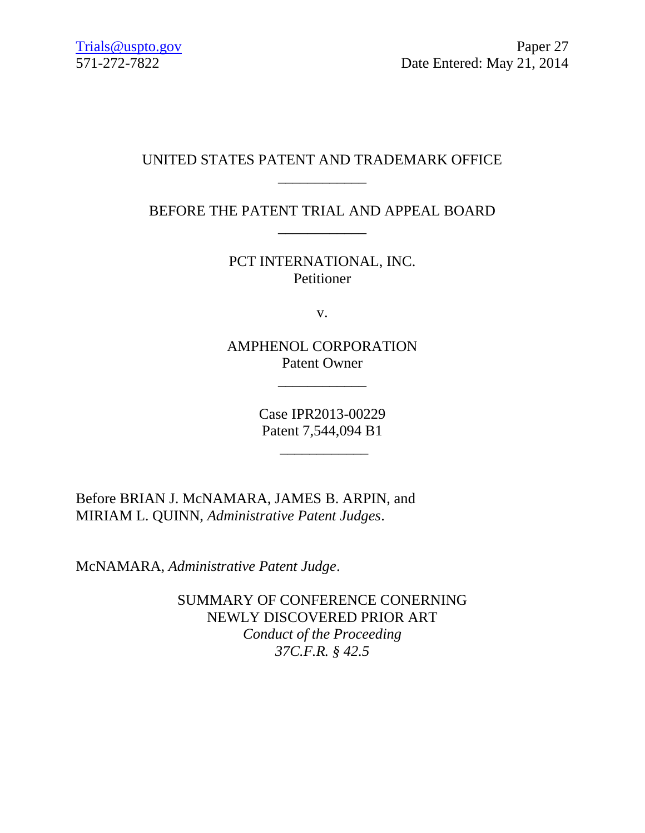## UNITED STATES PATENT AND TRADEMARK OFFICE \_\_\_\_\_\_\_\_\_\_\_\_

BEFORE THE PATENT TRIAL AND APPEAL BOARD \_\_\_\_\_\_\_\_\_\_\_\_

> PCT INTERNATIONAL, INC. Petitioner

> > v.

AMPHENOL CORPORATION Patent Owner

\_\_\_\_\_\_\_\_\_\_\_\_

Case IPR2013-00229 Patent 7,544,094 B1

\_\_\_\_\_\_\_\_\_\_\_\_

Before BRIAN J. McNAMARA, JAMES B. ARPIN, and MIRIAM L. QUINN, *Administrative Patent Judges*.

McNAMARA, *Administrative Patent Judge*.

SUMMARY OF CONFERENCE CONERNING NEWLY DISCOVERED PRIOR ART *Conduct of the Proceeding 37C.F.R. § 42.5*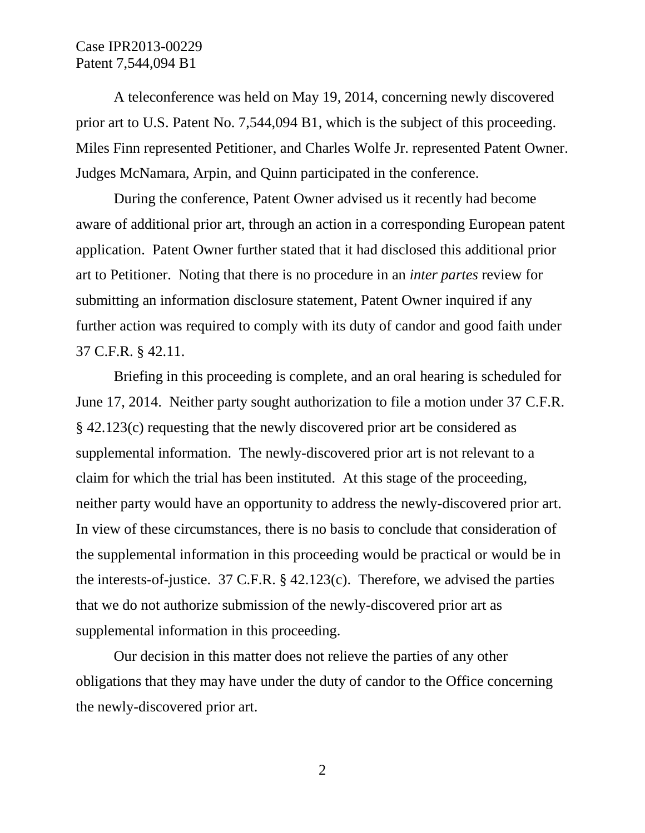## Case IPR2013-00229 Patent 7,544,094 B1

A teleconference was held on May 19, 2014, concerning newly discovered prior art to U.S. Patent No. 7,544,094 B1, which is the subject of this proceeding. Miles Finn represented Petitioner, and Charles Wolfe Jr. represented Patent Owner. Judges McNamara, Arpin, and Quinn participated in the conference.

During the conference, Patent Owner advised us it recently had become aware of additional prior art, through an action in a corresponding European patent application. Patent Owner further stated that it had disclosed this additional prior art to Petitioner. Noting that there is no procedure in an *inter partes* review for submitting an information disclosure statement, Patent Owner inquired if any further action was required to comply with its duty of candor and good faith under 37 C.F.R. § 42.11.

Briefing in this proceeding is complete, and an oral hearing is scheduled for June 17, 2014. Neither party sought authorization to file a motion under 37 C.F.R. § 42.123(c) requesting that the newly discovered prior art be considered as supplemental information. The newly-discovered prior art is not relevant to a claim for which the trial has been instituted. At this stage of the proceeding, neither party would have an opportunity to address the newly-discovered prior art. In view of these circumstances, there is no basis to conclude that consideration of the supplemental information in this proceeding would be practical or would be in the interests-of-justice. 37 C.F.R. § 42.123(c). Therefore, we advised the parties that we do not authorize submission of the newly-discovered prior art as supplemental information in this proceeding.

Our decision in this matter does not relieve the parties of any other obligations that they may have under the duty of candor to the Office concerning the newly-discovered prior art.

2